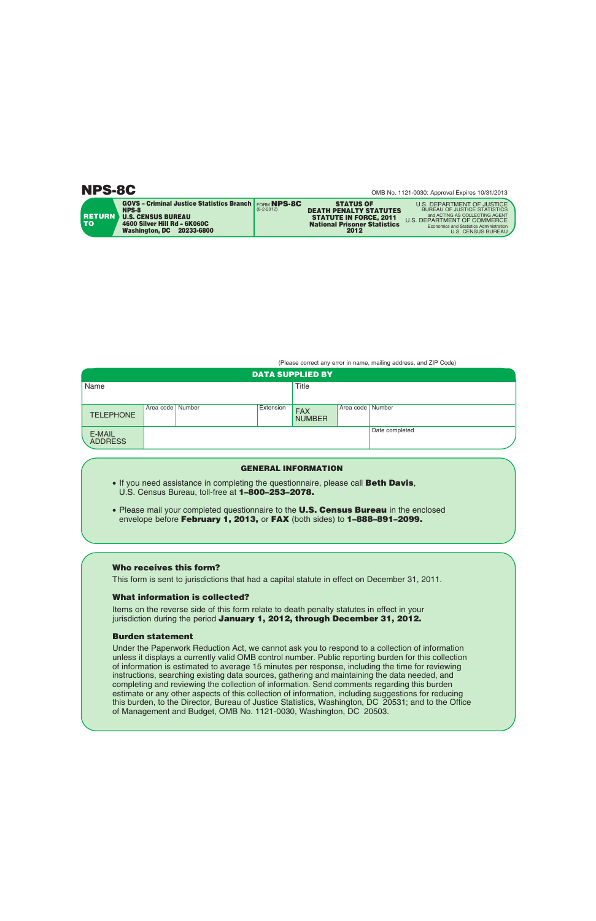|                      | <b>GOVS - Criminal Justice Statistics Branch   FORM NPS-8C</b>     | $(8-2-2012)$ | <b>STATUS OF</b>                                                                                      | U.S. DEPARTMENT OF JUSTICE<br><b>BUREAU OF JUSTICE STATISTICS</b>                                        |
|----------------------|--------------------------------------------------------------------|--------------|-------------------------------------------------------------------------------------------------------|----------------------------------------------------------------------------------------------------------|
| <b>RETURN</b><br>TO. | NPS-8<br><b>U.S. CENSUS BUREAU</b><br>4600 Silver Hill Rd - 6K060C |              | <b>DEATH PENALTY STATUTES</b><br><b>STATUTE IN FORCE, 2011</b><br><b>National Prisoner Statistics</b> | and ACTING AS COLLECTING AGENT<br>U.S. DEPARTMENT OF COMMERCE<br>Economics and Statistics Administration |
|                      | <b>Washington, DC</b><br>20233-6800                                |              | 2012                                                                                                  | U.S. CENSUS BUREAU                                                                                       |

(Please correct any error in name, mailing address, and ZIP Code)

| <b>DATA SUPPLIED BY</b>  |                  |  |           |                             |                    |                |  |
|--------------------------|------------------|--|-----------|-----------------------------|--------------------|----------------|--|
| Name                     |                  |  | Title     |                             |                    |                |  |
|                          |                  |  |           |                             |                    |                |  |
| <b>TELEPHONE</b>         | Area code Number |  | Extension | <b>FAX</b><br><b>NUMBER</b> | Area code   Number |                |  |
| E-MAIL<br><b>ADDRESS</b> |                  |  |           |                             |                    | Date completed |  |

## **GENERAL INFORMATION**

- If you need assistance in completing the questionnaire, please call **Beth Davis**, U.S. Census Bureau, toll-free at **1–800–253–2078.**
- Please mail your completed questionnaire to the **U.S. Census Bureau** in the enclosed envelope before **February 1, 2013,** or **FAX** (both sides) to **1–888–891–2099.**

## **Who receives this form?**

This form is sent to jurisdictions that had a capital statute in effect on December 31, 2011.

## **What information is collected?**

Items on the reverse side of this form relate to death penalty statutes in effect in your jurisdiction during the period **January 1, 2012, through December 31, 2012.**

## **Burden statement**

Under the Paperwork Reduction Act, we cannot ask you to respond to a collection of information unless it displays a currently valid OMB control number. Public reporting burden for this collection of information is estimated to average 15 minutes per response, including the time for reviewing instructions, searching existing data sources, gathering and maintaining the data needed, and completing and reviewing the collection of information. Send comments regarding this burden estimate or any other aspects of this collection of information, including suggestions for reducing this burden, to the Director, Bureau of Justice Statistics, Washington, DC 20531; and to the Office of Management and Budget, OMB No. 1121-0030, Washington, DC 20503.